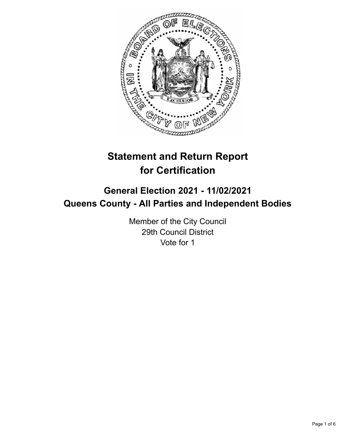

# **Statement and Return Report for Certification**

# **General Election 2021 - 11/02/2021 Queens County - All Parties and Independent Bodies**

Member of the City Council 29th Council District Vote for 1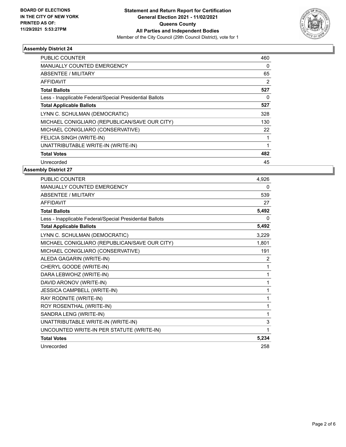

### **Assembly District 24**

| PUBLIC COUNTER                                           | 460 |
|----------------------------------------------------------|-----|
| <b>MANUALLY COUNTED EMERGENCY</b>                        | 0   |
| <b>ABSENTEE / MILITARY</b>                               | 65  |
| AFFIDAVIT                                                | 2   |
| <b>Total Ballots</b>                                     | 527 |
| Less - Inapplicable Federal/Special Presidential Ballots | 0   |
| <b>Total Applicable Ballots</b>                          | 527 |
| LYNN C. SCHULMAN (DEMOCRATIC)                            | 328 |
| MICHAEL CONIGLIARO (REPUBLICAN/SAVE OUR CITY)            | 130 |
| MICHAEL CONIGLIARO (CONSERVATIVE)                        | 22  |
| FELICIA SINGH (WRITE-IN)                                 |     |
| UNATTRIBUTABLE WRITE-IN (WRITE-IN)                       |     |
| <b>Total Votes</b>                                       | 482 |
| Unrecorded                                               | 45  |

## **Assembly District 27**

| PUBLIC COUNTER                                           | 4,926 |
|----------------------------------------------------------|-------|
| <b>MANUALLY COUNTED EMERGENCY</b>                        | 0     |
| <b>ABSENTEE / MILITARY</b>                               | 539   |
| <b>AFFIDAVIT</b>                                         | 27    |
| <b>Total Ballots</b>                                     | 5,492 |
| Less - Inapplicable Federal/Special Presidential Ballots | 0     |
| <b>Total Applicable Ballots</b>                          | 5,492 |
| LYNN C. SCHULMAN (DEMOCRATIC)                            | 3,229 |
| MICHAEL CONIGLIARO (REPUBLICAN/SAVE OUR CITY)            | 1,801 |
| MICHAEL CONIGLIARO (CONSERVATIVE)                        | 191   |
| ALEDA GAGARIN (WRITE-IN)                                 | 2     |
| CHERYL GOODE (WRITE-IN)                                  | 1     |
| DARA LEBWOHZ (WRITE-IN)                                  | 1     |
| DAVID ARONOV (WRITE-IN)                                  | 1     |
| JESSICA CAMPBELL (WRITE-IN)                              | 1     |
| RAY RODNITE (WRITE-IN)                                   | 1     |
| ROY ROSENTHAL (WRITE-IN)                                 | 1     |
| SANDRA LENG (WRITE-IN)                                   | 1     |
| UNATTRIBUTABLE WRITE-IN (WRITE-IN)                       | 3     |
| UNCOUNTED WRITE-IN PER STATUTE (WRITE-IN)                | 1     |
| <b>Total Votes</b>                                       | 5,234 |
| Unrecorded                                               | 258   |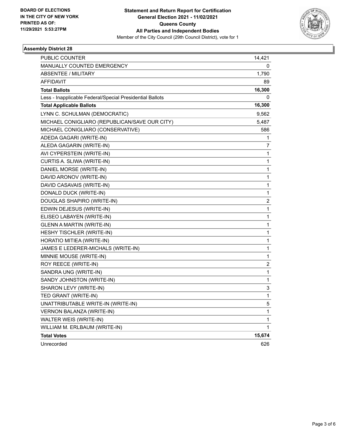

### **Assembly District 28**

| PUBLIC COUNTER                                           | 14,421 |
|----------------------------------------------------------|--------|
| <b>MANUALLY COUNTED EMERGENCY</b>                        | 0      |
| <b>ABSENTEE / MILITARY</b>                               | 1,790  |
| <b>AFFIDAVIT</b>                                         | 89     |
| <b>Total Ballots</b>                                     | 16,300 |
| Less - Inapplicable Federal/Special Presidential Ballots | 0      |
| <b>Total Applicable Ballots</b>                          | 16,300 |
| LYNN C. SCHULMAN (DEMOCRATIC)                            | 9,562  |
| MICHAEL CONIGLIARO (REPUBLICAN/SAVE OUR CITY)            | 5,487  |
| MICHAEL CONIGLIARO (CONSERVATIVE)                        | 586    |
| ADEDA GAGARI (WRITE-IN)                                  | 1      |
| ALEDA GAGARIN (WRITE-IN)                                 | 7      |
| AVI CYPERSTEIN (WRITE-IN)                                | 1      |
| CURTIS A. SLIWA (WRITE-IN)                               | 1      |
| DANIEL MORSE (WRITE-IN)                                  | 1      |
| DAVID ARONOV (WRITE-IN)                                  | 1      |
| DAVID CASAVAIS (WRITE-IN)                                | 1      |
| DONALD DUCK (WRITE-IN)                                   | 1      |
| DOUGLAS SHAPIRO (WRITE-IN)                               | 2      |
| EDWIN DEJESUS (WRITE-IN)                                 | 1      |
| ELISEO LABAYEN (WRITE-IN)                                | 1      |
| GLENN A MARTIN (WRITE-IN)                                | 1      |
| HESHY TISCHLER (WRITE-IN)                                | 1      |
| HORATIO MITIEA (WRITE-IN)                                | 1      |
| JAMES E LEDERER-MICHALS (WRITE-IN)                       | 1      |
| MINNIE MOUSE (WRITE-IN)                                  | 1      |
| ROY REECE (WRITE-IN)                                     | 2      |
| SANDRA UNG (WRITE-IN)                                    | 1      |
| SANDY JOHNSTON (WRITE-IN)                                | 1      |
| SHARON LEVY (WRITE-IN)                                   | 3      |
| TED GRANT (WRITE-IN)                                     | 1      |
| UNATTRIBUTABLE WRITE-IN (WRITE-IN)                       | 5      |
| VERNON BALANZA (WRITE-IN)                                | 1      |
| WALTER WEIS (WRITE-IN)                                   | 1      |
| WILLIAM M. ERLBAUM (WRITE-IN)                            | 1      |
| <b>Total Votes</b>                                       | 15,674 |
| Unrecorded                                               | 626    |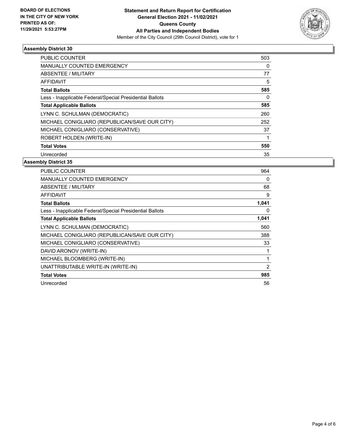

### **Assembly District 30**

| PUBLIC COUNTER                                           | 503 |
|----------------------------------------------------------|-----|
| <b>MANUALLY COUNTED EMERGENCY</b>                        | 0   |
| ABSENTEE / MILITARY                                      | 77  |
| <b>AFFIDAVIT</b>                                         | 5   |
| <b>Total Ballots</b>                                     | 585 |
| Less - Inapplicable Federal/Special Presidential Ballots | 0   |
| <b>Total Applicable Ballots</b>                          | 585 |
| LYNN C. SCHULMAN (DEMOCRATIC)                            | 260 |
| MICHAEL CONIGLIARO (REPUBLICAN/SAVE OUR CITY)            | 252 |
| MICHAEL CONIGLIARO (CONSERVATIVE)                        | 37  |
| ROBERT HOLDEN (WRITE-IN)                                 |     |
| <b>Total Votes</b>                                       | 550 |
| Unrecorded                                               | 35  |

#### **Assembly District 35**

| <b>PUBLIC COUNTER</b>                                    | 964   |
|----------------------------------------------------------|-------|
| <b>MANUALLY COUNTED EMERGENCY</b>                        | 0     |
| ABSENTEE / MILITARY                                      | 68    |
| AFFIDAVIT                                                | 9     |
| <b>Total Ballots</b>                                     | 1,041 |
| Less - Inapplicable Federal/Special Presidential Ballots | 0     |
| <b>Total Applicable Ballots</b>                          | 1,041 |
| LYNN C. SCHULMAN (DEMOCRATIC)                            | 560   |
| MICHAEL CONIGLIARO (REPUBLICAN/SAVE OUR CITY)            | 388   |
| MICHAEL CONIGLIARO (CONSERVATIVE)                        | 33    |
| DAVID ARONOV (WRITE-IN)                                  |       |
| MICHAEL BLOOMBERG (WRITE-IN)                             | 1     |
| UNATTRIBUTABLE WRITE-IN (WRITE-IN)                       | 2     |
| <b>Total Votes</b>                                       | 985   |
| Unrecorded                                               | 56    |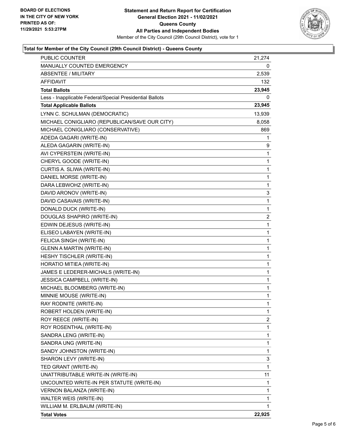

### **Total for Member of the City Council (29th Council District) - Queens County**

| MANUALLY COUNTED EMERGENCY<br>0<br><b>ABSENTEE / MILITARY</b><br>2,539<br><b>AFFIDAVIT</b><br>132<br>23,945<br><b>Total Ballots</b><br>0<br>Less - Inapplicable Federal/Special Presidential Ballots<br><b>Total Applicable Ballots</b><br>23,945<br>LYNN C. SCHULMAN (DEMOCRATIC)<br>13,939<br>MICHAEL CONIGLIARO (REPUBLICAN/SAVE OUR CITY)<br>8,058<br>MICHAEL CONIGLIARO (CONSERVATIVE)<br>869<br>ADEDA GAGARI (WRITE-IN)<br>1<br>ALEDA GAGARIN (WRITE-IN)<br>9<br>AVI CYPERSTEIN (WRITE-IN)<br>1<br>CHERYL GOODE (WRITE-IN)<br>1<br>CURTIS A. SLIWA (WRITE-IN)<br>1<br>DANIEL MORSE (WRITE-IN)<br>1<br>DARA LEBWOHZ (WRITE-IN)<br>1<br>DAVID ARONOV (WRITE-IN)<br>3<br>DAVID CASAVAIS (WRITE-IN)<br>1<br>DONALD DUCK (WRITE-IN)<br>1<br>DOUGLAS SHAPIRO (WRITE-IN)<br>2<br>EDWIN DEJESUS (WRITE-IN)<br>1<br>1<br>ELISEO LABAYEN (WRITE-IN)<br>FELICIA SINGH (WRITE-IN)<br>1<br><b>GLENN A MARTIN (WRITE-IN)</b><br>1<br>1<br>HESHY TISCHLER (WRITE-IN)<br>HORATIO MITIEA (WRITE-IN)<br>1 |
|-----------------------------------------------------------------------------------------------------------------------------------------------------------------------------------------------------------------------------------------------------------------------------------------------------------------------------------------------------------------------------------------------------------------------------------------------------------------------------------------------------------------------------------------------------------------------------------------------------------------------------------------------------------------------------------------------------------------------------------------------------------------------------------------------------------------------------------------------------------------------------------------------------------------------------------------------------------------------------------------------|
|                                                                                                                                                                                                                                                                                                                                                                                                                                                                                                                                                                                                                                                                                                                                                                                                                                                                                                                                                                                               |
|                                                                                                                                                                                                                                                                                                                                                                                                                                                                                                                                                                                                                                                                                                                                                                                                                                                                                                                                                                                               |
|                                                                                                                                                                                                                                                                                                                                                                                                                                                                                                                                                                                                                                                                                                                                                                                                                                                                                                                                                                                               |
|                                                                                                                                                                                                                                                                                                                                                                                                                                                                                                                                                                                                                                                                                                                                                                                                                                                                                                                                                                                               |
|                                                                                                                                                                                                                                                                                                                                                                                                                                                                                                                                                                                                                                                                                                                                                                                                                                                                                                                                                                                               |
|                                                                                                                                                                                                                                                                                                                                                                                                                                                                                                                                                                                                                                                                                                                                                                                                                                                                                                                                                                                               |
|                                                                                                                                                                                                                                                                                                                                                                                                                                                                                                                                                                                                                                                                                                                                                                                                                                                                                                                                                                                               |
|                                                                                                                                                                                                                                                                                                                                                                                                                                                                                                                                                                                                                                                                                                                                                                                                                                                                                                                                                                                               |
|                                                                                                                                                                                                                                                                                                                                                                                                                                                                                                                                                                                                                                                                                                                                                                                                                                                                                                                                                                                               |
|                                                                                                                                                                                                                                                                                                                                                                                                                                                                                                                                                                                                                                                                                                                                                                                                                                                                                                                                                                                               |
|                                                                                                                                                                                                                                                                                                                                                                                                                                                                                                                                                                                                                                                                                                                                                                                                                                                                                                                                                                                               |
|                                                                                                                                                                                                                                                                                                                                                                                                                                                                                                                                                                                                                                                                                                                                                                                                                                                                                                                                                                                               |
|                                                                                                                                                                                                                                                                                                                                                                                                                                                                                                                                                                                                                                                                                                                                                                                                                                                                                                                                                                                               |
|                                                                                                                                                                                                                                                                                                                                                                                                                                                                                                                                                                                                                                                                                                                                                                                                                                                                                                                                                                                               |
|                                                                                                                                                                                                                                                                                                                                                                                                                                                                                                                                                                                                                                                                                                                                                                                                                                                                                                                                                                                               |
|                                                                                                                                                                                                                                                                                                                                                                                                                                                                                                                                                                                                                                                                                                                                                                                                                                                                                                                                                                                               |
|                                                                                                                                                                                                                                                                                                                                                                                                                                                                                                                                                                                                                                                                                                                                                                                                                                                                                                                                                                                               |
|                                                                                                                                                                                                                                                                                                                                                                                                                                                                                                                                                                                                                                                                                                                                                                                                                                                                                                                                                                                               |
|                                                                                                                                                                                                                                                                                                                                                                                                                                                                                                                                                                                                                                                                                                                                                                                                                                                                                                                                                                                               |
|                                                                                                                                                                                                                                                                                                                                                                                                                                                                                                                                                                                                                                                                                                                                                                                                                                                                                                                                                                                               |
|                                                                                                                                                                                                                                                                                                                                                                                                                                                                                                                                                                                                                                                                                                                                                                                                                                                                                                                                                                                               |
|                                                                                                                                                                                                                                                                                                                                                                                                                                                                                                                                                                                                                                                                                                                                                                                                                                                                                                                                                                                               |
|                                                                                                                                                                                                                                                                                                                                                                                                                                                                                                                                                                                                                                                                                                                                                                                                                                                                                                                                                                                               |
|                                                                                                                                                                                                                                                                                                                                                                                                                                                                                                                                                                                                                                                                                                                                                                                                                                                                                                                                                                                               |
|                                                                                                                                                                                                                                                                                                                                                                                                                                                                                                                                                                                                                                                                                                                                                                                                                                                                                                                                                                                               |
|                                                                                                                                                                                                                                                                                                                                                                                                                                                                                                                                                                                                                                                                                                                                                                                                                                                                                                                                                                                               |
| JAMES E LEDERER-MICHALS (WRITE-IN)<br>1                                                                                                                                                                                                                                                                                                                                                                                                                                                                                                                                                                                                                                                                                                                                                                                                                                                                                                                                                       |
| JESSICA CAMPBELL (WRITE-IN)<br>1                                                                                                                                                                                                                                                                                                                                                                                                                                                                                                                                                                                                                                                                                                                                                                                                                                                                                                                                                              |
| MICHAEL BLOOMBERG (WRITE-IN)<br>1                                                                                                                                                                                                                                                                                                                                                                                                                                                                                                                                                                                                                                                                                                                                                                                                                                                                                                                                                             |
| MINNIE MOUSE (WRITE-IN)<br>1                                                                                                                                                                                                                                                                                                                                                                                                                                                                                                                                                                                                                                                                                                                                                                                                                                                                                                                                                                  |
| RAY RODNITE (WRITE-IN)<br>$\mathbf{1}$                                                                                                                                                                                                                                                                                                                                                                                                                                                                                                                                                                                                                                                                                                                                                                                                                                                                                                                                                        |
| ROBERT HOLDEN (WRITE-IN)<br>1                                                                                                                                                                                                                                                                                                                                                                                                                                                                                                                                                                                                                                                                                                                                                                                                                                                                                                                                                                 |
| ROY REECE (WRITE-IN)<br>2                                                                                                                                                                                                                                                                                                                                                                                                                                                                                                                                                                                                                                                                                                                                                                                                                                                                                                                                                                     |
| 1<br>ROY ROSENTHAL (WRITE-IN)                                                                                                                                                                                                                                                                                                                                                                                                                                                                                                                                                                                                                                                                                                                                                                                                                                                                                                                                                                 |
| 1<br>SANDRA LENG (WRITE-IN)                                                                                                                                                                                                                                                                                                                                                                                                                                                                                                                                                                                                                                                                                                                                                                                                                                                                                                                                                                   |
| 1<br>SANDRA UNG (WRITE-IN)                                                                                                                                                                                                                                                                                                                                                                                                                                                                                                                                                                                                                                                                                                                                                                                                                                                                                                                                                                    |
| 1<br>SANDY JOHNSTON (WRITE-IN)                                                                                                                                                                                                                                                                                                                                                                                                                                                                                                                                                                                                                                                                                                                                                                                                                                                                                                                                                                |
| 3<br>SHARON LEVY (WRITE-IN)                                                                                                                                                                                                                                                                                                                                                                                                                                                                                                                                                                                                                                                                                                                                                                                                                                                                                                                                                                   |
| TED GRANT (WRITE-IN)<br>1                                                                                                                                                                                                                                                                                                                                                                                                                                                                                                                                                                                                                                                                                                                                                                                                                                                                                                                                                                     |
| UNATTRIBUTABLE WRITE-IN (WRITE-IN)<br>11                                                                                                                                                                                                                                                                                                                                                                                                                                                                                                                                                                                                                                                                                                                                                                                                                                                                                                                                                      |
| UNCOUNTED WRITE-IN PER STATUTE (WRITE-IN)<br>1                                                                                                                                                                                                                                                                                                                                                                                                                                                                                                                                                                                                                                                                                                                                                                                                                                                                                                                                                |
| VERNON BALANZA (WRITE-IN)<br>1                                                                                                                                                                                                                                                                                                                                                                                                                                                                                                                                                                                                                                                                                                                                                                                                                                                                                                                                                                |
| WALTER WEIS (WRITE-IN)<br>1                                                                                                                                                                                                                                                                                                                                                                                                                                                                                                                                                                                                                                                                                                                                                                                                                                                                                                                                                                   |
| WILLIAM M. ERLBAUM (WRITE-IN)<br>1                                                                                                                                                                                                                                                                                                                                                                                                                                                                                                                                                                                                                                                                                                                                                                                                                                                                                                                                                            |
| 22,925<br><b>Total Votes</b>                                                                                                                                                                                                                                                                                                                                                                                                                                                                                                                                                                                                                                                                                                                                                                                                                                                                                                                                                                  |